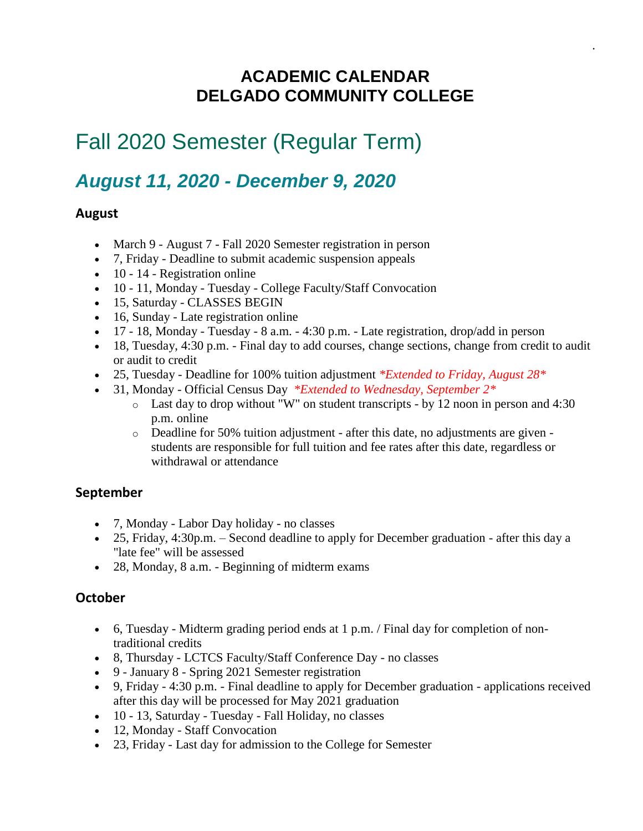### **ACADEMIC CALENDAR DELGADO COMMUNITY COLLEGE**

.

## Fall 2020 Semester (Regular Term)

### *August 11, 2020 - December 9, 2020*

#### **August**

- March 9 August 7 Fall 2020 Semester registration in person
- 7, Friday Deadline to submit academic suspension appeals
- 10 14 Registration online
- 10 11, Monday Tuesday College Faculty/Staff Convocation
- 15, Saturday CLASSES BEGIN
- 16, Sunday Late registration online
- 17 18, Monday Tuesday 8 a.m. 4:30 p.m. Late registration, drop/add in person
- 18, Tuesday, 4:30 p.m. Final day to add courses, change sections, change from credit to audit or audit to credit
- 25, Tuesday Deadline for 100% tuition adjustment *\*Extended to Friday, August 28\**
- 31, Monday Official Census Day *\*Extended to Wednesday, September 2\**
	- o Last day to drop without "W" on student transcripts by 12 noon in person and 4:30 p.m. online
	- o Deadline for 50% tuition adjustment after this date, no adjustments are given students are responsible for full tuition and fee rates after this date, regardless or withdrawal or attendance

#### **September**

- 7, Monday Labor Day holiday no classes
- 25, Friday, 4:30p.m. Second deadline to apply for December graduation after this day a "late fee" will be assessed
- 28, Monday, 8 a.m. Beginning of midterm exams

#### **October**

- 6, Tuesday Midterm grading period ends at 1 p.m. / Final day for completion of nontraditional credits
- 8, Thursday LCTCS Faculty/Staff Conference Day no classes
- 9 January 8 Spring 2021 Semester registration
- 9, Friday 4:30 p.m. Final deadline to apply for December graduation applications received after this day will be processed for May 2021 graduation
- 10 13, Saturday Tuesday Fall Holiday, no classes
- 12, Monday Staff Convocation
- 23, Friday Last day for admission to the College for Semester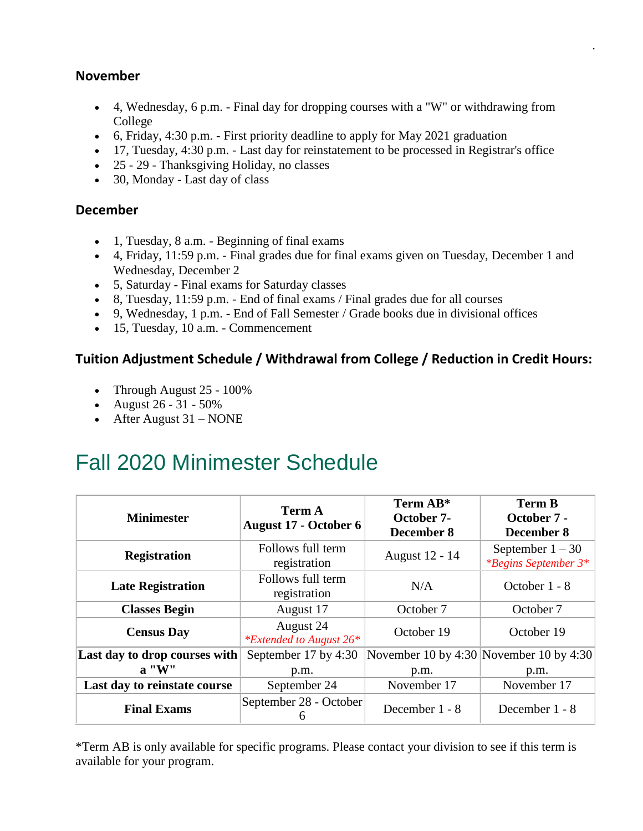#### **November**

• 4, Wednesday, 6 p.m. - Final day for dropping courses with a "W" or withdrawing from College

.

- 6, Friday, 4:30 p.m. First priority deadline to apply for May 2021 graduation
- 17, Tuesday, 4:30 p.m. Last day for reinstatement to be processed in Registrar's office
- 25 29 Thanksgiving Holiday, no classes
- 30, Monday Last day of class

#### **December**

- 1, Tuesday, 8 a.m. Beginning of final exams
- 4, Friday, 11:59 p.m. Final grades due for final exams given on Tuesday, December 1 and Wednesday, December 2
- 5, Saturday Final exams for Saturday classes
- 8, Tuesday, 11:59 p.m. End of final exams / Final grades due for all courses
- 9, Wednesday, 1 p.m. End of Fall Semester / Grade books due in divisional offices
- 15, Tuesday, 10 a.m. Commencement

#### **Tuition Adjustment Schedule / Withdrawal from College / Reduction in Credit Hours:**

- Through August 25 100%
- August 26 31 50%
- After August  $31 \text{NONE}$

## Fall 2020 Minimester Schedule

| <b>Minimester</b>             | <b>Term A</b><br><b>August 17 - October 6</b> | Term AB*<br>October 7-<br>December 8 | <b>Term B</b><br>October 7 -<br>December 8        |
|-------------------------------|-----------------------------------------------|--------------------------------------|---------------------------------------------------|
| <b>Registration</b>           | Follows full term<br>registration             | August 12 - 14                       | September $1 - 30$<br><i>*Begins September 3*</i> |
| <b>Late Registration</b>      | Follows full term<br>registration             | N/A                                  | October 1 - 8                                     |
| <b>Classes Begin</b>          | August 17                                     | October 7                            | October 7                                         |
| <b>Census Day</b>             | August 24<br><i>*Extended to August 26*</i>   | October 19                           | October 19                                        |
| Last day to drop courses with | September 17 by 4:30                          |                                      | November 10 by 4:30 November 10 by 4:30           |
| $\mathbf{a}$ "W"              | p.m.                                          | p.m.                                 | p.m.                                              |
| Last day to reinstate course  | September 24                                  | November 17                          | November 17                                       |
| <b>Final Exams</b>            | September 28 - October<br>6                   | December 1 - 8                       | December 1 - 8                                    |

\*Term AB is only available for specific programs. Please contact your division to see if this term is available for your program.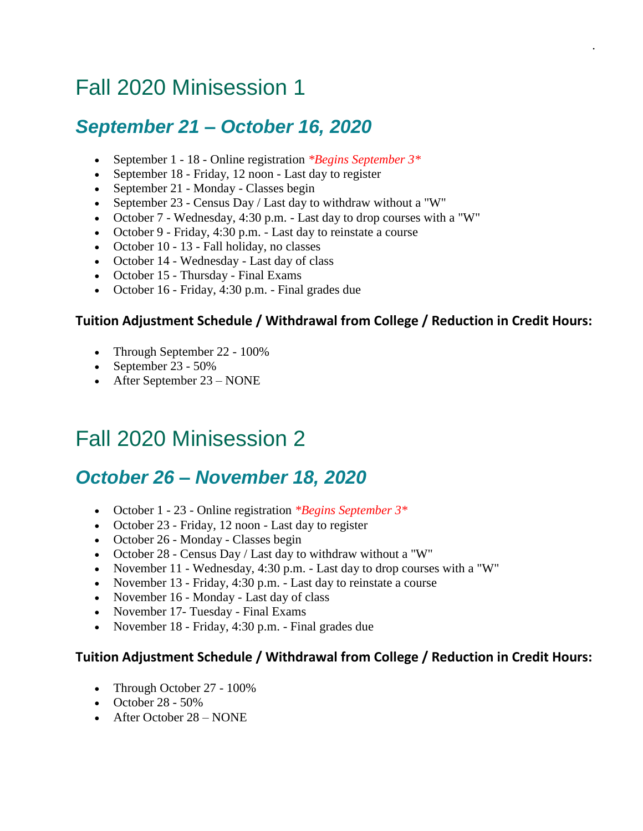## Fall 2020 Minisession 1

### *September 21 – October 16, 2020*

- September 1 18 Online registration *\*Begins September 3\**
- September 18 Friday, 12 noon Last day to register
- September 21 Monday Classes begin
- September 23 Census Day / Last day to withdraw without a "W"
- October 7 Wednesday, 4:30 p.m. Last day to drop courses with a "W"
- October 9 Friday, 4:30 p.m. Last day to reinstate a course
- October 10 13 Fall holiday, no classes
- October 14 Wednesday Last day of class
- October 15 Thursday Final Exams
- October 16 Friday, 4:30 p.m. Final grades due

#### **Tuition Adjustment Schedule / Withdrawal from College / Reduction in Credit Hours:**

.

- Through September 22 100%
- September 23 50%
- After September 23 NONE

## Fall 2020 Minisession 2

### *October 26 – November 18, 2020*

- October 1 23 Online registration *\*Begins September 3\**
- October 23 Friday, 12 noon Last day to register
- October 26 Monday Classes begin
- October 28 Census Day / Last day to withdraw without a "W"
- November 11 Wednesday, 4:30 p.m. Last day to drop courses with a "W"
- November 13 Friday, 4:30 p.m. Last day to reinstate a course
- November 16 Monday Last day of class
- November 17- Tuesday Final Exams
- November 18 Friday, 4:30 p.m. Final grades due

- Through October 27 100%
- October  $28 50\%$
- After October 28 NONE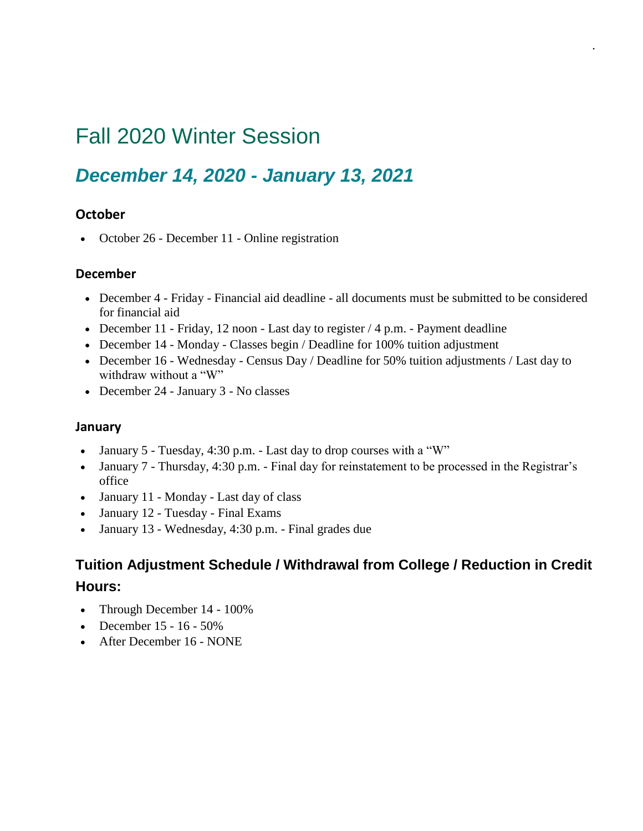## Fall 2020 Winter Session

### *December 14, 2020 - January 13, 2021*

#### **October**

• October 26 - December 11 - Online registration

#### **December**

• December 4 - Friday - Financial aid deadline - all documents must be submitted to be considered for financial aid

.

- December 11 Friday, 12 noon Last day to register / 4 p.m. Payment deadline
- December 14 Monday Classes begin / Deadline for 100% tuition adjustment
- December 16 Wednesday Census Day / Deadline for 50% tuition adjustments / Last day to withdraw without a "W"
- December 24 January 3 No classes

#### **January**

- January 5 Tuesday, 4:30 p.m. Last day to drop courses with a "W"
- January 7 Thursday, 4:30 p.m. Final day for reinstatement to be processed in the Registrar's office
- January 11 Monday Last day of class
- January 12 Tuesday Final Exams
- January 13 Wednesday, 4:30 p.m. Final grades due

- Through December 14 100%
- December  $15 16 50\%$
- After December 16 NONE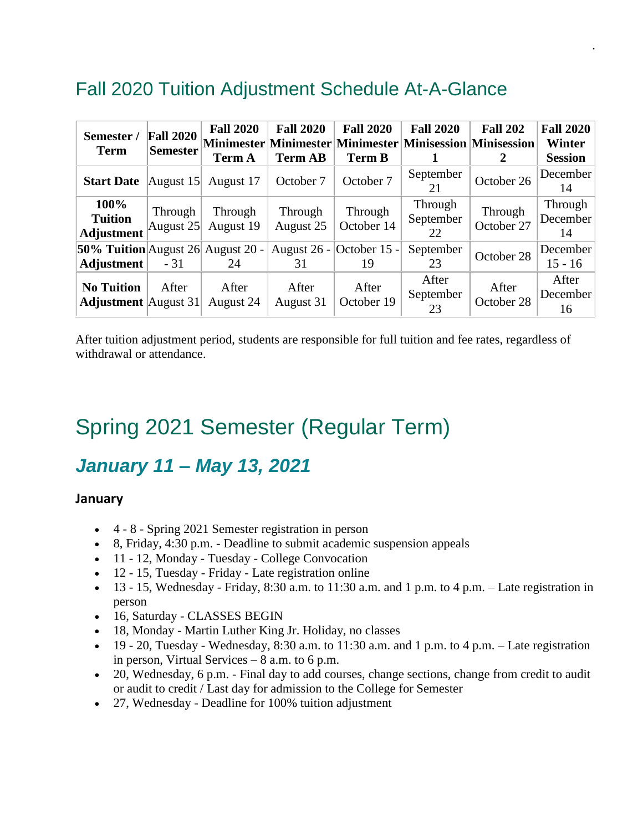### Fall 2020 Tuition Adjustment Schedule At-A-Glance

| Semester /<br><b>Term</b>                        | <b>Fall 2020</b><br><b>Semester</b> | <b>Fall 2020</b><br><b>Term A</b> | <b>Fall 2020</b><br><b>Term AB</b> | <b>Fall 2020</b><br><b>Term B</b> | <b>Fall 2020</b><br>Minimester Minimester Minimester Minisession Minisession | <b>Fall 202</b><br>2  | <b>Fall 2020</b><br><b>Winter</b><br><b>Session</b> |
|--------------------------------------------------|-------------------------------------|-----------------------------------|------------------------------------|-----------------------------------|------------------------------------------------------------------------------|-----------------------|-----------------------------------------------------|
| <b>Start Date</b>                                | August $15$                         | August 17                         | October 7                          | October 7                         | September<br>21                                                              | October 26            | December<br>14                                      |
| 100%<br><b>Tuition</b><br><b>Adjustment</b>      | Through<br>August 25                | Through<br>August 19              | Through<br>August 25               | Through<br>October 14             | Through<br>September<br>22                                                   | Through<br>October 27 | Through<br>December<br>14                           |
| 50% Tuition August 26 August 20 -<br>Adjustment  | $-31$                               | 24                                | 31                                 | August 26 - October 15 -<br>19    | September<br>23                                                              | October 28            | December<br>$15 - 16$                               |
| <b>No Tuition</b><br><b>Adjustment</b> August 31 | After                               | After<br>August 24                | After<br>August 31                 | After<br>October 19               | After<br>September<br>23                                                     | After<br>October 28   | After<br>December<br>16                             |

.

After tuition adjustment period, students are responsible for full tuition and fee rates, regardless of withdrawal or attendance.

## Spring 2021 Semester (Regular Term)

### *January 11 – May 13, 2021*

#### **January**

- 4 8 Spring 2021 Semester registration in person
- 8, Friday, 4:30 p.m. Deadline to submit academic suspension appeals
- 11 12, Monday Tuesday College Convocation
- 12 15, Tuesday Friday Late registration online
- 13 15, Wednesday Friday, 8:30 a.m. to 11:30 a.m. and 1 p.m. to 4 p.m. Late registration in person
- 16, Saturday CLASSES BEGIN
- 18, Monday Martin Luther King Jr. Holiday, no classes
- 19 20, Tuesday Wednesday, 8:30 a.m. to 11:30 a.m. and 1 p.m. to 4 p.m. Late registration in person, Virtual Services – 8 a.m. to 6 p.m.
- 20, Wednesday, 6 p.m. Final day to add courses, change sections, change from credit to audit or audit to credit / Last day for admission to the College for Semester
- 27, Wednesday Deadline for 100% tuition adjustment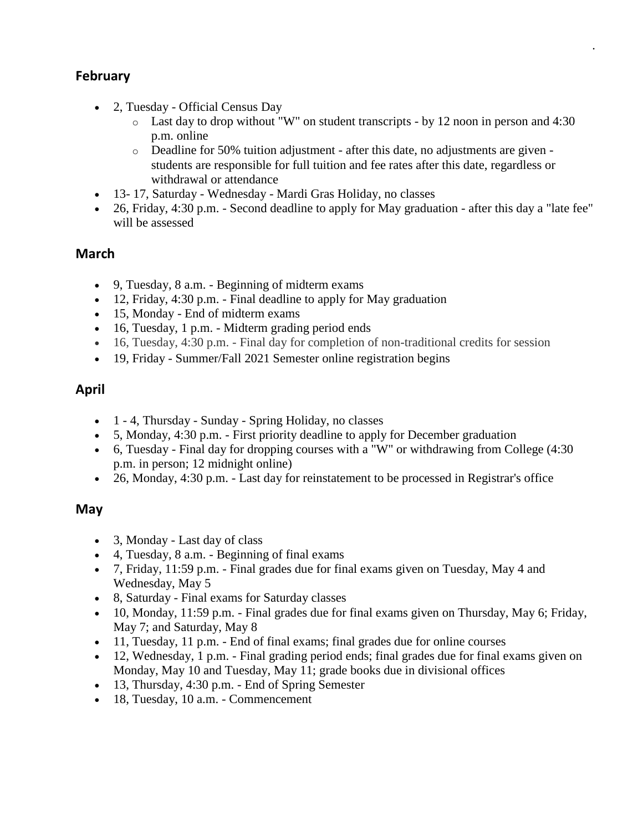#### **February**

- 2, Tuesday Official Census Day
	- o Last day to drop without "W" on student transcripts by 12 noon in person and 4:30 p.m. online

.

- o Deadline for 50% tuition adjustment after this date, no adjustments are given students are responsible for full tuition and fee rates after this date, regardless or withdrawal or attendance
- 13- 17, Saturday Wednesday Mardi Gras Holiday, no classes
- 26, Friday, 4:30 p.m. Second deadline to apply for May graduation after this day a "late fee" will be assessed

#### **March**

- 9, Tuesday, 8 a.m. Beginning of midterm exams
- 12, Friday, 4:30 p.m. Final deadline to apply for May graduation
- 15, Monday End of midterm exams
- 16, Tuesday, 1 p.m. Midterm grading period ends
- 16, Tuesday, 4:30 p.m. Final day for completion of non-traditional credits for session
- 19, Friday Summer/Fall 2021 Semester online registration begins

#### **April**

- 1 4, Thursday Sunday Spring Holiday, no classes
- 5, Monday, 4:30 p.m. First priority deadline to apply for December graduation
- 6, Tuesday Final day for dropping courses with a "W" or withdrawing from College (4:30 p.m. in person; 12 midnight online)
- 26, Monday, 4:30 p.m. Last day for reinstatement to be processed in Registrar's office

#### **May**

- 3, Monday Last day of class
- 4, Tuesday, 8 a.m. Beginning of final exams
- 7, Friday, 11:59 p.m. Final grades due for final exams given on Tuesday, May 4 and Wednesday, May 5
- 8, Saturday Final exams for Saturday classes
- 10, Monday, 11:59 p.m. Final grades due for final exams given on Thursday, May 6; Friday, May 7; and Saturday, May 8
- 11, Tuesday, 11 p.m. End of final exams; final grades due for online courses
- 12, Wednesday, 1 p.m. Final grading period ends; final grades due for final exams given on Monday, May 10 and Tuesday, May 11; grade books due in divisional offices
- 13, Thursday, 4:30 p.m. End of Spring Semester
- 18, Tuesday, 10 a.m. Commencement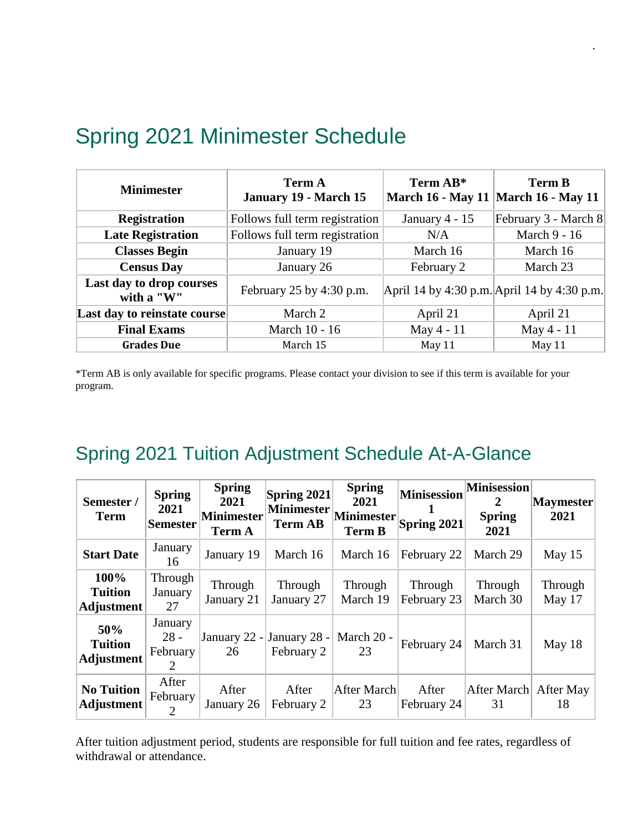| <b>Minimester</b>                      | <b>Term A</b><br>January 19 - March 15 | Term AB*                                    | <b>Term B</b><br>March 16 - May 11 March 16 - May 11 |  |
|----------------------------------------|----------------------------------------|---------------------------------------------|------------------------------------------------------|--|
| <b>Registration</b>                    | Follows full term registration         | January $4 - 15$                            | February 3 - March 8                                 |  |
| <b>Late Registration</b>               | Follows full term registration         | N/A                                         | March 9 - 16                                         |  |
| <b>Classes Begin</b>                   | January 19                             | March 16                                    | March 16                                             |  |
| <b>Census Day</b>                      | January 26                             | February 2                                  | March 23                                             |  |
| Last day to drop courses<br>with a "W" | February 25 by 4:30 p.m.               | April 14 by 4:30 p.m. April 14 by 4:30 p.m. |                                                      |  |
| Last day to reinstate course           | March 2                                | April 21                                    | April 21                                             |  |
| <b>Final Exams</b>                     | March 10 - 16                          | May 4 - 11                                  | May 4 - 11                                           |  |
| <b>Grades Due</b>                      | March 15                               | May 11                                      | May 11                                               |  |

.

## Spring 2021 Minimester Schedule

\*Term AB is only available for specific programs. Please contact your division to see if this term is available for your program.

### Spring 2021 Tuition Adjustment Schedule At-A-Glance

| Semester /<br><b>Term</b>                   | <b>Spring</b><br>2021<br><b>Semester</b>   | <b>Spring</b><br>2021<br><b>Minimester</b><br><b>Term A</b> | Spring 2021<br><b>Minimester</b><br><b>Term AB</b> | <b>Spring</b><br>2021<br>Minimester<br><b>Term B</b> | <b>Minisession</b><br>Spring 2021 | <b>Minisession</b><br>2<br><b>Spring</b><br>2021 | <b>Maymester</b><br>2021 |
|---------------------------------------------|--------------------------------------------|-------------------------------------------------------------|----------------------------------------------------|------------------------------------------------------|-----------------------------------|--------------------------------------------------|--------------------------|
| <b>Start Date</b>                           | January<br>16                              | January 19                                                  | March 16                                           | March 16                                             | February 22                       | March 29                                         | May 15                   |
| 100%<br><b>Tuition</b><br><b>Adjustment</b> | Through<br>January<br>27                   | Through<br>January 21                                       | Through<br>January 27                              | Through<br>March 19                                  | Through<br>February 23            | Through<br>March 30                              | Through<br>May 17        |
| 50%<br><b>Tuition</b><br><b>Adjustment</b>  | January<br>$28 -$<br>February<br>2         | 26                                                          | January 22 - January 28 - March 20 -<br>February 2 | 23                                                   | February 24                       | March 31                                         | May 18                   |
| <b>No Tuition</b><br><b>Adjustment</b>      | After<br>February<br>$\mathcal{D}_{\cdot}$ | After<br>January 26                                         | After<br>February 2                                | After March<br>23                                    | After<br>February 24              | After March<br>31                                | After May<br>18          |

After tuition adjustment period, students are responsible for full tuition and fee rates, regardless of withdrawal or attendance.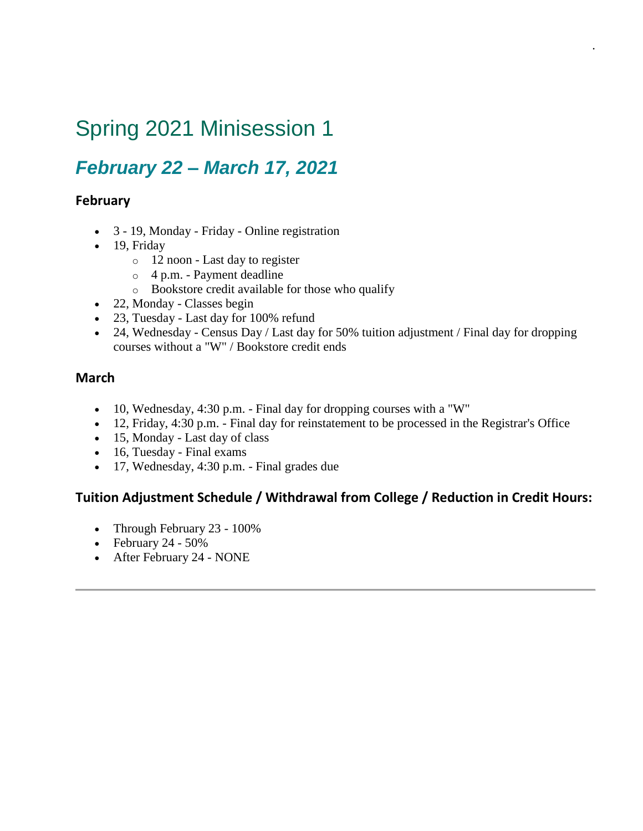## Spring 2021 Minisession 1

### *February 22 – March 17, 2021*

#### **February**

- 3 19, Monday Friday Online registration
- 19, Friday
	- o 12 noon Last day to register
	- o 4 p.m. Payment deadline
	- o Bookstore credit available for those who qualify
- 22, Monday Classes begin
- 23, Tuesday Last day for 100% refund
- 24, Wednesday Census Day / Last day for 50% tuition adjustment / Final day for dropping courses without a "W" / Bookstore credit ends

.

#### **March**

- 10, Wednesday, 4:30 p.m. Final day for dropping courses with a "W"
- 12, Friday, 4:30 p.m. Final day for reinstatement to be processed in the Registrar's Office
- 15, Monday Last day of class
- 16, Tuesday Final exams
- 17, Wednesday, 4:30 p.m. Final grades due

- Through February 23 100%
- February 24  $50\%$
- After February 24 NONE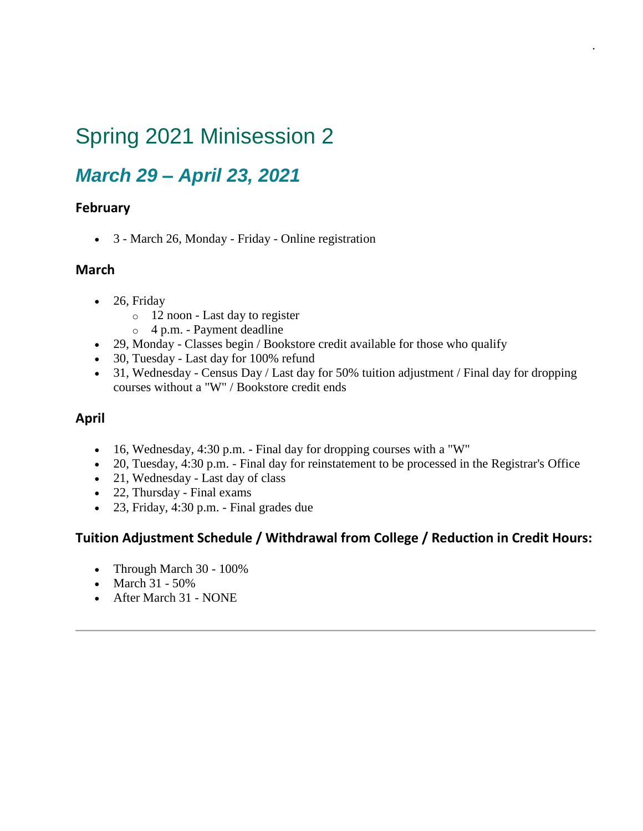## Spring 2021 Minisession 2

### *March 29 – April 23, 2021*

#### **February**

• 3 - March 26, Monday - Friday - Online registration

#### **March**

- 26, Friday
	- o 12 noon Last day to register
	- o 4 p.m. Payment deadline
- 29, Monday Classes begin / Bookstore credit available for those who qualify
- 30, Tuesday Last day for 100% refund
- 31, Wednesday Census Day / Last day for 50% tuition adjustment / Final day for dropping courses without a "W" / Bookstore credit ends

.

#### **April**

- 16, Wednesday, 4:30 p.m. Final day for dropping courses with a "W"
- 20, Tuesday, 4:30 p.m. Final day for reinstatement to be processed in the Registrar's Office
- 21, Wednesday Last day of class
- 22, Thursday Final exams
- 23, Friday, 4:30 p.m. Final grades due

- Through March 30 100%
- March 31 50%
- After March 31 NONE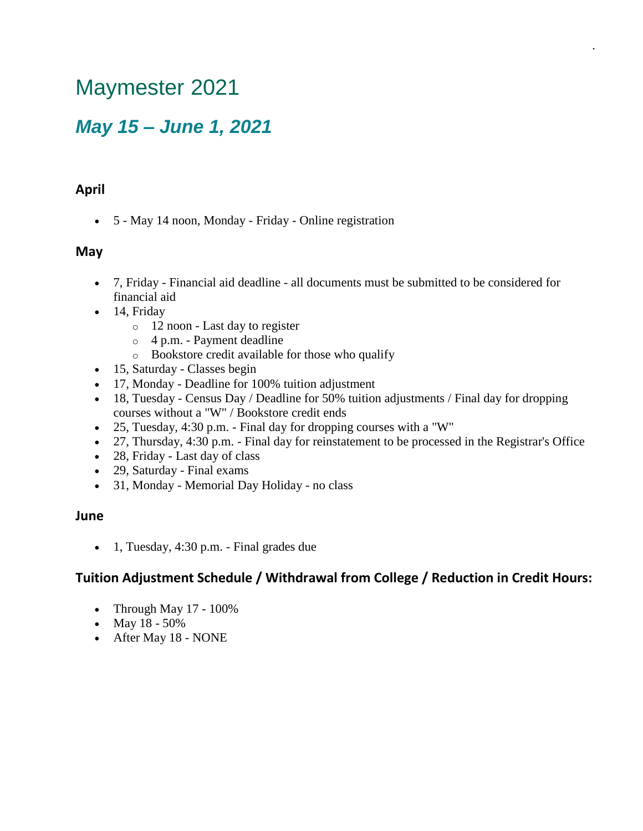## Maymester 2021

### *May 15 – June 1, 2021*

#### **April**

• 5 - May 14 noon, Monday - Friday - Online registration

#### **May**

• 7, Friday - Financial aid deadline - all documents must be submitted to be considered for financial aid

.

- 14, Friday
	- o 12 noon Last day to register
	- o 4 p.m. Payment deadline
	- o Bookstore credit available for those who qualify
- 15, Saturday Classes begin
- 17, Monday Deadline for 100% tuition adjustment
- 18, Tuesday Census Day / Deadline for 50% tuition adjustments / Final day for dropping courses without a "W" / Bookstore credit ends
- 25, Tuesday, 4:30 p.m. Final day for dropping courses with a "W"
- 27, Thursday, 4:30 p.m. Final day for reinstatement to be processed in the Registrar's Office
- 28, Friday Last day of class
- 29, Saturday Final exams
- 31, Monday Memorial Day Holiday no class

#### **June**

• 1, Tuesday, 4:30 p.m. - Final grades due

- Through May 17 100%
- May 18 50%
- After May 18 NONE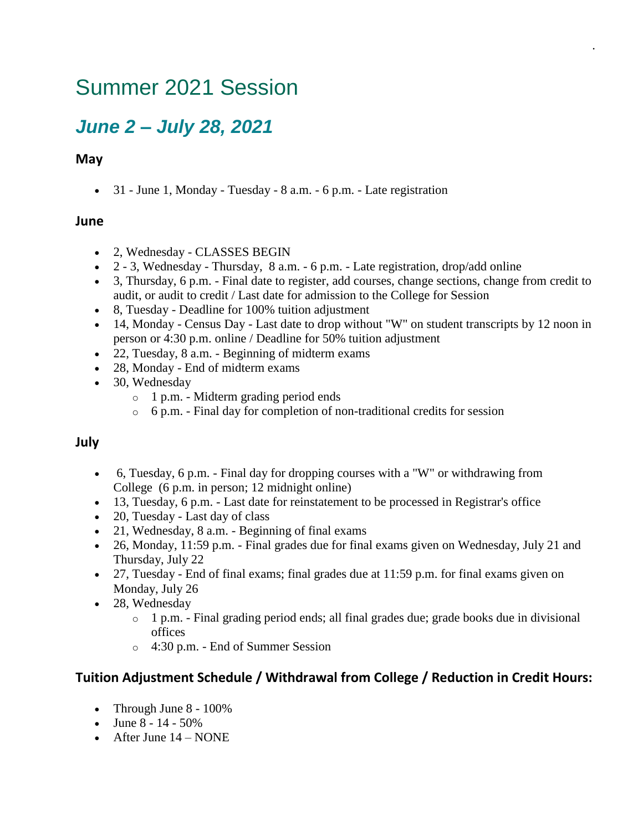## Summer 2021 Session

### *June 2 – July 28, 2021*

#### **May**

• 31 - June 1, Monday - Tuesday - 8 a.m. - 6 p.m. - Late registration

#### **June**

- 2, Wednesday CLASSES BEGIN
- 2 3, Wednesday Thursday, 8 a.m. 6 p.m. Late registration, drop/add online
- 3, Thursday, 6 p.m. Final date to register, add courses, change sections, change from credit to audit, or audit to credit / Last date for admission to the College for Session

.

- 8, Tuesday Deadline for 100% tuition adjustment
- 14, Monday Census Day Last date to drop without "W" on student transcripts by 12 noon in person or 4:30 p.m. online / Deadline for 50% tuition adjustment
- 22, Tuesday, 8 a.m. Beginning of midterm exams
- 28, Monday End of midterm exams
- 30, Wednesday
	- o 1 p.m. Midterm grading period ends
	- o 6 p.m. Final day for completion of non-traditional credits for session

#### **July**

- 6, Tuesday, 6 p.m. Final day for dropping courses with a "W" or withdrawing from College (6 p.m. in person; 12 midnight online)
- 13, Tuesday, 6 p.m. Last date for reinstatement to be processed in Registrar's office
- 20, Tuesday Last day of class
- 21, Wednesday, 8 a.m. Beginning of final exams
- 26, Monday, 11:59 p.m. Final grades due for final exams given on Wednesday, July 21 and Thursday, July 22
- 27, Tuesday End of final exams; final grades due at 11:59 p.m. for final exams given on Monday, July 26
- 28, Wednesday
	- o 1 p.m. Final grading period ends; all final grades due; grade books due in divisional offices
	- o 4:30 p.m. End of Summer Session

- Through June 8 100%
- June  $8 14 50\%$
- After June  $14 NONE$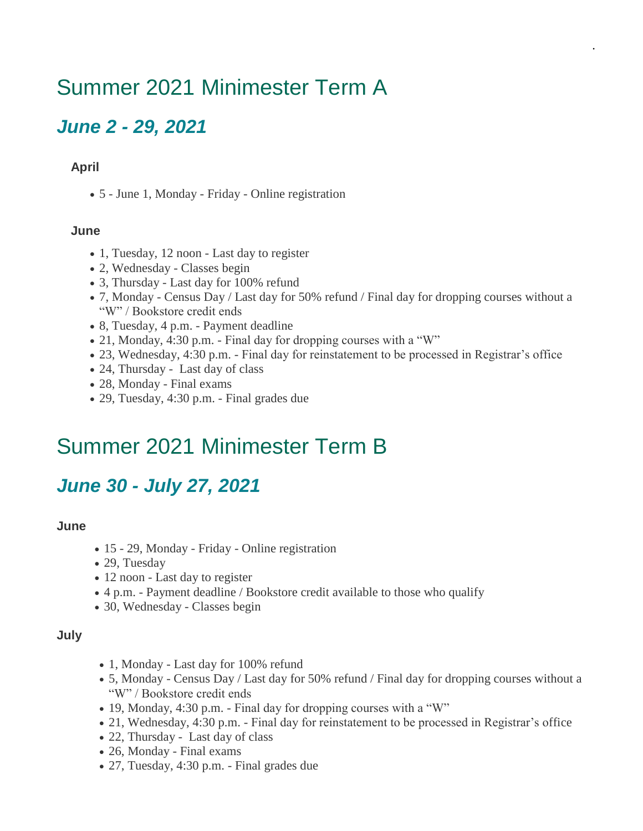## Summer 2021 Minimester Term A

### *June 2 - 29, 2021*

#### **April**

• 5 - June 1, Monday - Friday - Online registration

#### **June**

- 1, Tuesday, 12 noon Last day to register
- 2, Wednesday Classes begin
- 3, Thursday Last day for 100% refund
- 7, Monday Census Day / Last day for 50% refund / Final day for dropping courses without a "W" / Bookstore credit ends

.

- 8, Tuesday, 4 p.m. Payment deadline
- 21, Monday, 4:30 p.m. Final day for dropping courses with a "W"
- 23, Wednesday, 4:30 p.m. Final day for reinstatement to be processed in Registrar's office
- 24, Thursday Last day of class
- 28, Monday Final exams
- 29, Tuesday, 4:30 p.m. Final grades due

## Summer 2021 Minimester Term B

### *June 30 - July 27, 2021*

#### **June**

- 15 29, Monday Friday Online registration
- 29, Tuesday
- 12 noon Last day to register
- 4 p.m. Payment deadline / Bookstore credit available to those who qualify
- 30, Wednesday Classes begin

#### **July**

- 1, Monday Last day for 100% refund
- 5, Monday Census Day / Last day for 50% refund / Final day for dropping courses without a "W" / Bookstore credit ends
- 19, Monday, 4:30 p.m. Final day for dropping courses with a "W"
- 21, Wednesday, 4:30 p.m. Final day for reinstatement to be processed in Registrar's office
- 22, Thursday Last day of class
- 26, Monday Final exams
- 27, Tuesday, 4:30 p.m. Final grades due